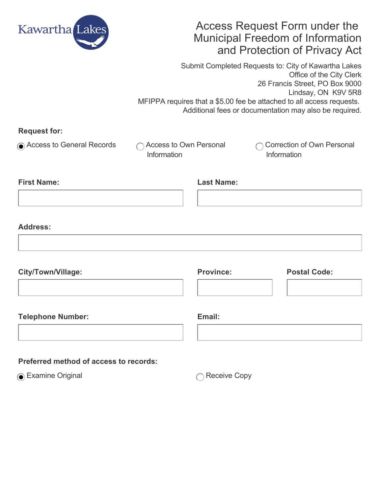

# Access Request Form under the Municipal Freedom of Information and Protection of Privacy Act

Submit Completed Requests to: City of Kawartha Lakes Office of the City Clerk 26 Francis Street, PO Box 9000 Lindsay, ON K9V 5R8 MFIPPA requires that a \$5.00 fee be attached to all access requests. Additional fees or documentation may also be required.

| <b>Request for:</b> |  |
|---------------------|--|
|---------------------|--|

 $\bigcirc$  Access to General Records  $\bigcirc$  Access to Own Personal

Information

Correction of Own Personal **Information** 

| <b>First Name:</b> | <b>Last Name:</b> |
|--------------------|-------------------|
|                    |                   |

### **Address:**

| <b>City/Town/Village:</b> | <b>Province:</b> | <b>Postal Code:</b> |
|---------------------------|------------------|---------------------|
|                           |                  |                     |
| <b>Telephone Number:</b>  | Email:           |                     |

## **Preferred method of access to records:**

**■** Examine Original Receive Copy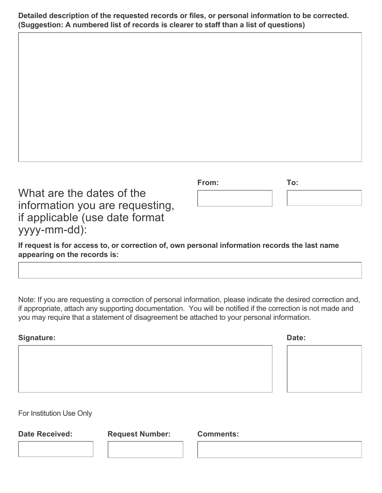**Detailed description of the requested records or files, or personal information to be corrected. (Suggestion: A numbered list of records is clearer to staff than a list of questions)**

| What are the dates of the       |
|---------------------------------|
| information you are requesting, |
| if applicable (use date format  |
| yyyy-mm-dd):                    |

| From: | To: |  |
|-------|-----|--|
|       |     |  |

**If request is for access to, or correction of, own personal information records the last name appearing on the records is:**

Note: If you are requesting a correction of personal information, please indicate the desired correction and, if appropriate, attach any supporting documentation. You will be notified if the correction is not made and you may require that a statement of disagreement be attached to your personal information.

| <b>Signature:</b> | Date: |
|-------------------|-------|
|                   |       |
|                   |       |
|                   |       |
|                   |       |

For Institution Use Only

**Date Received: Request Number: Comments:**